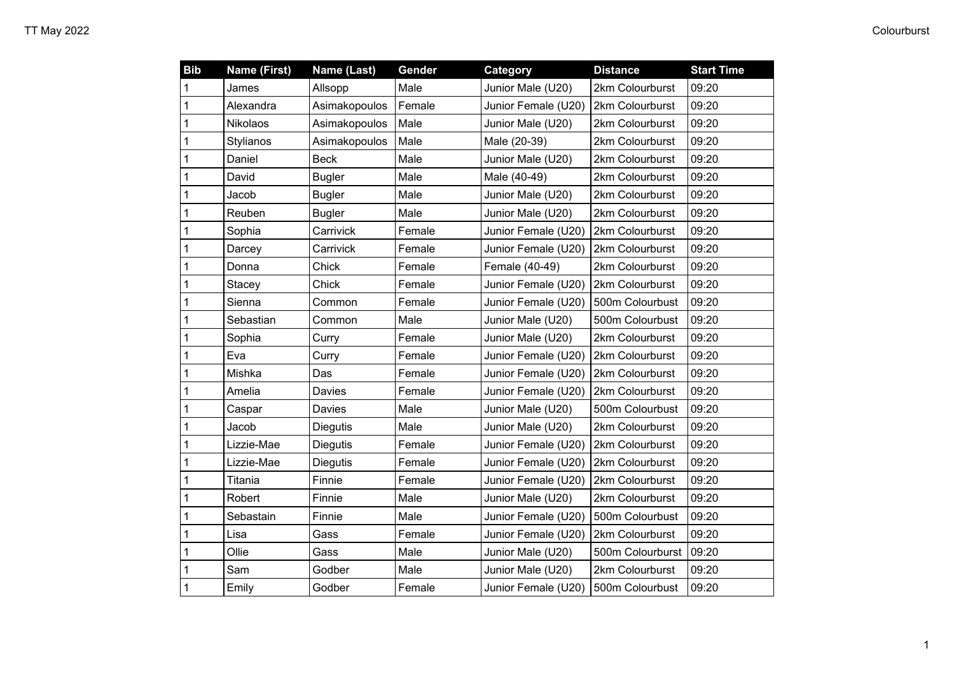| <b>Bib</b>   | <b>Name (First)</b> | Name (Last)     | Gender | Category            | <b>Distance</b>  | <b>Start Time</b> |
|--------------|---------------------|-----------------|--------|---------------------|------------------|-------------------|
| 1            | James               | Allsopp         | Male   | Junior Male (U20)   | 2km Colourburst  | 09:20             |
| 1            | Alexandra           | Asimakopoulos   | Female | Junior Female (U20) | 2km Colourburst  | 09:20             |
| 1            | <b>Nikolaos</b>     | Asimakopoulos   | Male   | Junior Male (U20)   | 2km Colourburst  | 09:20             |
| 1            | Stylianos           | Asimakopoulos   | Male   | Male (20-39)        | 2km Colourburst  | 09:20             |
| 1            | Daniel              | <b>Beck</b>     | Male   | Junior Male (U20)   | 2km Colourburst  | 09:20             |
| 1            | David               | Bugler          | Male   | Male (40-49)        | 2km Colourburst  | 09:20             |
| 1            | Jacob               | <b>Bugler</b>   | Male   | Junior Male (U20)   | 2km Colourburst  | 09:20             |
| 1            | Reuben              | <b>Bugler</b>   | Male   | Junior Male (U20)   | 2km Colourburst  | 09:20             |
| 1            | Sophia              | Carrivick       | Female | Junior Female (U20) | 2km Colourburst  | 09:20             |
| 1            | Darcey              | Carrivick       | Female | Junior Female (U20) | 2km Colourburst  | 09:20             |
| 1            | Donna               | Chick           | Female | Female (40-49)      | 2km Colourburst  | 09:20             |
| 1            | Stacey              | Chick           | Female | Junior Female (U20) | 2km Colourburst  | 09:20             |
| 1            | Sienna              | Common          | Female | Junior Female (U20) | 500m Colourbust  | 09:20             |
| 1            | Sebastian           | Common          | Male   | Junior Male (U20)   | 500m Colourbust  | 09:20             |
| 1            | Sophia              | Curry           | Female | Junior Male (U20)   | 2km Colourburst  | 09:20             |
| 1            | Eva                 | Curry           | Female | Junior Female (U20) | 2km Colourburst  | 09:20             |
| 1            | Mishka              | Das             | Female | Junior Female (U20) | 2km Colourburst  | 09:20             |
| 1            | Amelia              | Davies          | Female | Junior Female (U20) | 2km Colourburst  | 09:20             |
| 1            | Caspar              | Davies          | Male   | Junior Male (U20)   | 500m Colourbust  | 09:20             |
| 1            | Jacob               | <b>Diegutis</b> | Male   | Junior Male (U20)   | 2km Colourburst  | 09:20             |
| 1            | Lizzie-Mae          | <b>Diegutis</b> | Female | Junior Female (U20) | 2km Colourburst  | 09:20             |
| 1            | Lizzie-Mae          | <b>Diegutis</b> | Female | Junior Female (U20) | 2km Colourburst  | 09:20             |
| 1            | Titania             | Finnie          | Female | Junior Female (U20) | 2km Colourburst  | 09:20             |
| 1            | Robert              | Finnie          | Male   | Junior Male (U20)   | 2km Colourburst  | 09:20             |
| 1            | Sebastain           | Finnie          | Male   | Junior Female (U20) | 500m Colourbust  | 09:20             |
| 1            | Lisa                | Gass            | Female | Junior Female (U20) | 2km Colourburst  | 09:20             |
| 1            | Ollie               | Gass            | Male   | Junior Male (U20)   | 500m Colourburst | 09:20             |
| 1            | Sam                 | Godber          | Male   | Junior Male (U20)   | 2km Colourburst  | 09:20             |
| $\mathbf{1}$ | Emily               | Godber          | Female | Junior Female (U20) | 500m Colourbust  | 09:20             |